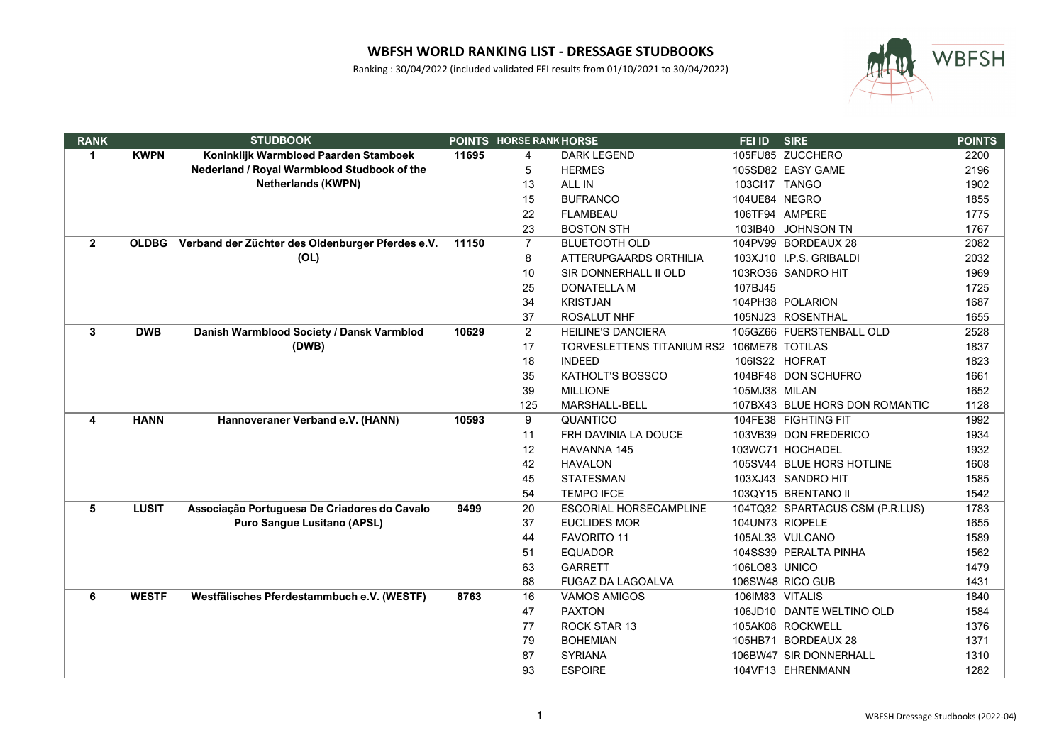

| <b>RANK</b>    |              | <b>STUDBOOK</b>                                  |       | <b>POINTS HORSE RANK HORSE</b> |                                            | FEI ID          | <b>SIRE</b>                     | <b>POINTS</b> |
|----------------|--------------|--------------------------------------------------|-------|--------------------------------|--------------------------------------------|-----------------|---------------------------------|---------------|
| $\mathbf{1}$   | <b>KWPN</b>  | Koninklijk Warmbloed Paarden Stamboek            | 11695 | 4                              | <b>DARK LEGEND</b>                         |                 | 105FU85 ZUCCHERO                | 2200          |
|                |              | Nederland / Royal Warmblood Studbook of the      |       | 5                              | <b>HERMES</b>                              |                 | 105SD82 EASY GAME               | 2196          |
|                |              | <b>Netherlands (KWPN)</b>                        |       | 13                             | ALL IN                                     | 103Cl17 TANGO   |                                 | 1902          |
|                |              |                                                  |       | 15                             | <b>BUFRANCO</b>                            | 104UE84 NEGRO   |                                 | 1855          |
|                |              |                                                  |       | 22                             | <b>FLAMBEAU</b>                            | 106TF94 AMPERE  |                                 | 1775          |
|                |              |                                                  |       | 23                             | <b>BOSTON STH</b>                          |                 | 103IB40 JOHNSON TN              | 1767          |
| $\overline{2}$ | <b>OLDBG</b> | Verband der Züchter des Oldenburger Pferdes e.V. | 11150 | $\overline{7}$                 | <b>BLUETOOTH OLD</b>                       |                 | 104PV99 BORDEAUX 28             | 2082          |
|                |              | (OL)                                             |       | 8                              | ATTERUPGAARDS ORTHILIA                     |                 | 103XJ10 I.P.S. GRIBALDI         | 2032          |
|                |              |                                                  |       | 10                             | SIR DONNERHALL II OLD                      |                 | 103RO36 SANDRO HIT              | 1969          |
|                |              |                                                  |       | 25                             | DONATELLA M                                | 107BJ45         |                                 | 1725          |
|                |              |                                                  |       | 34                             | <b>KRISTJAN</b>                            |                 | 104PH38 POLARION                | 1687          |
|                |              |                                                  |       | 37                             | <b>ROSALUT NHF</b>                         |                 | 105NJ23 ROSENTHAL               | 1655          |
| 3              | <b>DWB</b>   | Danish Warmblood Society / Dansk Varmblod        | 10629 | $\overline{2}$                 | <b>HEILINE'S DANCIERA</b>                  |                 | 105GZ66 FUERSTENBALL OLD        | 2528          |
|                |              | (DWB)                                            |       | 17                             | TORVESLETTENS TITANIUM RS2 106ME78 TOTILAS |                 |                                 | 1837          |
|                |              |                                                  |       | 18                             | <b>INDEED</b>                              |                 | 106IS22 HOFRAT                  | 1823          |
|                |              |                                                  |       | 35                             | KATHOLT'S BOSSCO                           |                 | 104BF48 DON SCHUFRO             | 1661          |
|                |              |                                                  |       | 39                             | <b>MILLIONE</b>                            | 105MJ38 MILAN   |                                 | 1652          |
|                |              |                                                  |       | 125                            | MARSHALL-BELL                              |                 | 107BX43 BLUE HORS DON ROMANTIC  | 1128          |
| 4              | <b>HANN</b>  | Hannoveraner Verband e.V. (HANN)                 | 10593 | 9                              | QUANTICO                                   |                 | 104FE38 FIGHTING FIT            | 1992          |
|                |              |                                                  |       | 11                             | FRH DAVINIA LA DOUCE                       |                 | 103VB39 DON FREDERICO           | 1934          |
|                |              |                                                  |       | 12                             | <b>HAVANNA 145</b>                         |                 | 103WC71 HOCHADEL                | 1932          |
|                |              |                                                  |       | 42                             | <b>HAVALON</b>                             |                 | 105SV44 BLUE HORS HOTLINE       | 1608          |
|                |              |                                                  |       | 45                             | <b>STATESMAN</b>                           |                 | 103XJ43 SANDRO HIT              | 1585          |
|                |              |                                                  |       | 54                             | <b>TEMPO IFCE</b>                          |                 | 103QY15 BRENTANO II             | 1542          |
| 5              | <b>LUSIT</b> | Associação Portuguesa De Criadores do Cavalo     | 9499  | 20                             | ESCORIAL HORSECAMPLINE                     |                 | 104TQ32 SPARTACUS CSM (P.R.LUS) | 1783          |
|                |              | <b>Puro Sangue Lusitano (APSL)</b>               |       | 37                             | <b>EUCLIDES MOR</b>                        | 104UN73 RIOPELE |                                 | 1655          |
|                |              |                                                  |       | 44                             | <b>FAVORITO 11</b>                         |                 | 105AL33 VULCANO                 | 1589          |
|                |              |                                                  |       | 51                             | <b>EQUADOR</b>                             |                 | 104SS39 PERALTA PINHA           | 1562          |
|                |              |                                                  |       | 63                             | <b>GARRETT</b>                             | 106LO83 UNICO   |                                 | 1479          |
|                |              |                                                  |       | 68                             | <b>FUGAZ DA LAGOALVA</b>                   |                 | 106SW48 RICO GUB                | 1431          |
| 6              | <b>WESTF</b> | Westfälisches Pferdestammbuch e.V. (WESTF)       | 8763  | 16                             | <b>VAMOS AMIGOS</b>                        | 106IM83 VITALIS |                                 | 1840          |
|                |              |                                                  |       | 47                             | <b>PAXTON</b>                              |                 | 106JD10 DANTE WELTINO OLD       | 1584          |
|                |              |                                                  |       | 77                             | ROCK STAR 13                               |                 | 105AK08 ROCKWELL                | 1376          |
|                |              |                                                  |       | 79                             | <b>BOHEMIAN</b>                            |                 | 105HB71 BORDEAUX 28             | 1371          |
|                |              |                                                  |       | 87                             | <b>SYRIANA</b>                             |                 | 106BW47 SIR DONNERHALL          | 1310          |
|                |              |                                                  |       | 93                             | <b>ESPOIRE</b>                             |                 | 104VF13 EHRENMANN               | 1282          |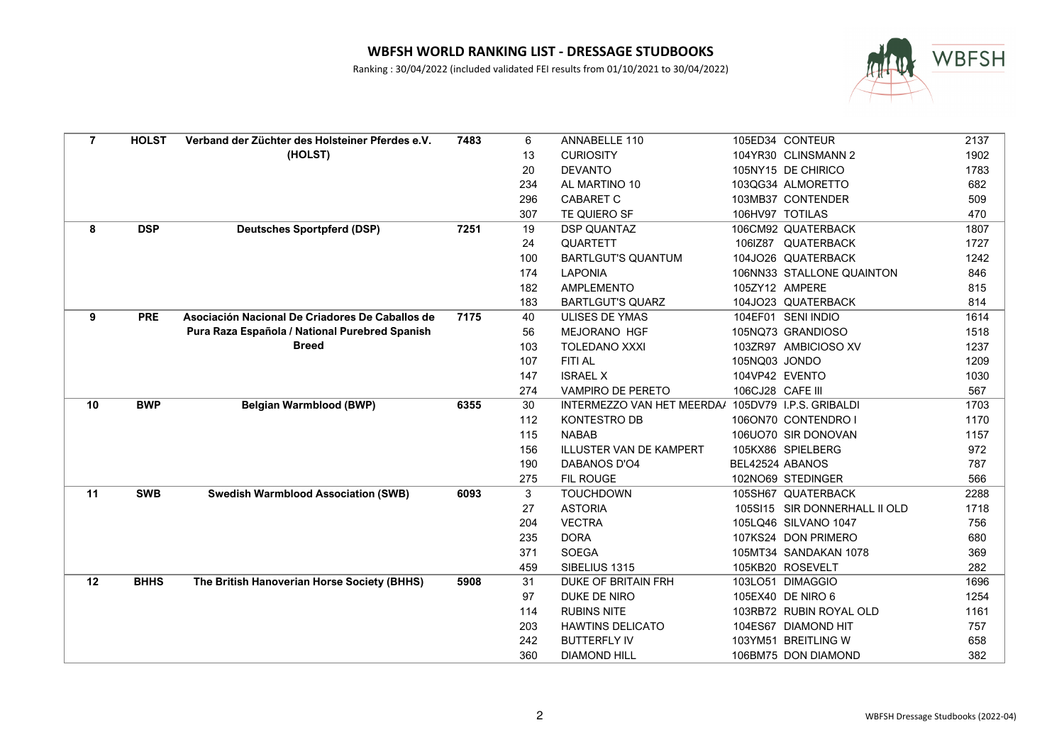

| $\overline{7}$ | <b>HOLST</b> | Verband der Züchter des Holsteiner Pferdes e.V. | 7483 | 6   | ANNABELLE 110                                      |                  | 105ED34 CONTEUR               | 2137 |
|----------------|--------------|-------------------------------------------------|------|-----|----------------------------------------------------|------------------|-------------------------------|------|
|                |              | (HOLST)                                         |      | 13  | <b>CURIOSITY</b>                                   |                  | 104YR30 CLINSMANN 2           | 1902 |
|                |              |                                                 |      | 20  | <b>DEVANTO</b>                                     |                  | 105NY15 DE CHIRICO            | 1783 |
|                |              |                                                 |      | 234 | AL MARTINO 10                                      |                  | 103QG34 ALMORETTO             | 682  |
|                |              |                                                 |      | 296 | <b>CABARET C</b>                                   |                  | 103MB37 CONTENDER             | 509  |
|                |              |                                                 |      | 307 | TE QUIERO SF                                       |                  | 106HV97 TOTILAS               | 470  |
| 8              | <b>DSP</b>   | <b>Deutsches Sportpferd (DSP)</b>               | 7251 | 19  | <b>DSP QUANTAZ</b>                                 |                  | 106CM92 QUATERBACK            | 1807 |
|                |              |                                                 |      | 24  | QUARTETT                                           |                  | 106IZ87 QUATERBACK            | 1727 |
|                |              |                                                 |      | 100 | <b>BARTLGUT'S QUANTUM</b>                          |                  | 104JO26 QUATERBACK            | 1242 |
|                |              |                                                 |      | 174 | <b>LAPONIA</b>                                     |                  | 106NN33 STALLONE QUAINTON     | 846  |
|                |              |                                                 |      | 182 | <b>AMPLEMENTO</b>                                  | 105ZY12 AMPERE   |                               | 815  |
|                |              |                                                 |      | 183 | <b>BARTLGUT'S QUARZ</b>                            |                  | 104JO23 QUATERBACK            | 814  |
| 9              | <b>PRE</b>   | Asociación Nacional De Criadores De Caballos de | 7175 | 40  | <b>ULISES DE YMAS</b>                              |                  | 104EF01 SENI INDIO            | 1614 |
|                |              | Pura Raza Española / National Purebred Spanish  |      | 56  | <b>MEJORANO HGF</b>                                |                  | 105NQ73 GRANDIOSO             | 1518 |
|                |              | <b>Breed</b>                                    |      | 103 | <b>TOLEDANO XXXI</b>                               |                  | 103ZR97 AMBICIOSO XV          | 1237 |
|                |              |                                                 |      | 107 | FITI AL                                            | 105NQ03 JONDO    |                               | 1209 |
|                |              |                                                 |      | 147 | <b>ISRAEL X</b>                                    | 104VP42 EVENTO   |                               | 1030 |
|                |              |                                                 |      | 274 | <b>VAMPIRO DE PERETO</b>                           | 106CJ28 CAFE III |                               | 567  |
| 10             | <b>BWP</b>   | <b>Belgian Warmblood (BWP)</b>                  | 6355 | 30  | INTERMEZZO VAN HET MEERDA/ 105DV79 I.P.S. GRIBALDI |                  |                               | 1703 |
|                |              |                                                 |      | 112 | <b>KONTESTRO DB</b>                                |                  | 106ON70 CONTENDRO I           | 1170 |
|                |              |                                                 |      | 115 | <b>NABAB</b>                                       |                  | 106UO70 SIR DONOVAN           | 1157 |
|                |              |                                                 |      | 156 | <b>ILLUSTER VAN DE KAMPERT</b>                     |                  | 105KX86 SPIELBERG             | 972  |
|                |              |                                                 |      | 190 | <b>DABANOS D'O4</b>                                | BEL42524 ABANOS  |                               | 787  |
|                |              |                                                 |      | 275 | FIL ROUGE                                          |                  | 102NO69 STEDINGER             | 566  |
| 11             | <b>SWB</b>   | <b>Swedish Warmblood Association (SWB)</b>      | 6093 | 3   | <b>TOUCHDOWN</b>                                   |                  | 105SH67 QUATERBACK            | 2288 |
|                |              |                                                 |      | 27  | <b>ASTORIA</b>                                     |                  | 105SI15 SIR DONNERHALL II OLD | 1718 |
|                |              |                                                 |      | 204 | <b>VECTRA</b>                                      |                  | 105LQ46 SILVANO 1047          | 756  |
|                |              |                                                 |      | 235 | <b>DORA</b>                                        |                  | 107KS24 DON PRIMERO           | 680  |
|                |              |                                                 |      | 371 | <b>SOEGA</b>                                       |                  | 105MT34 SANDAKAN 1078         | 369  |
|                |              |                                                 |      | 459 | SIBELIUS 1315                                      |                  | 105KB20 ROSEVELT              | 282  |
| 12             | <b>BHHS</b>  | The British Hanoverian Horse Society (BHHS)     | 5908 | 31  | DUKE OF BRITAIN FRH                                |                  | 103LO51 DIMAGGIO              | 1696 |
|                |              |                                                 |      | 97  | DUKE DE NIRO                                       |                  | 105EX40 DE NIRO 6             | 1254 |
|                |              |                                                 |      | 114 | <b>RUBINS NITE</b>                                 |                  | 103RB72 RUBIN ROYAL OLD       | 1161 |
|                |              |                                                 |      | 203 | <b>HAWTINS DELICATO</b>                            |                  | 104ES67 DIAMOND HIT           | 757  |
|                |              |                                                 |      | 242 | <b>BUTTERFLY IV</b>                                |                  | 103YM51 BREITLING W           | 658  |
|                |              |                                                 |      | 360 | <b>DIAMOND HILL</b>                                |                  | 106BM75 DON DIAMOND           | 382  |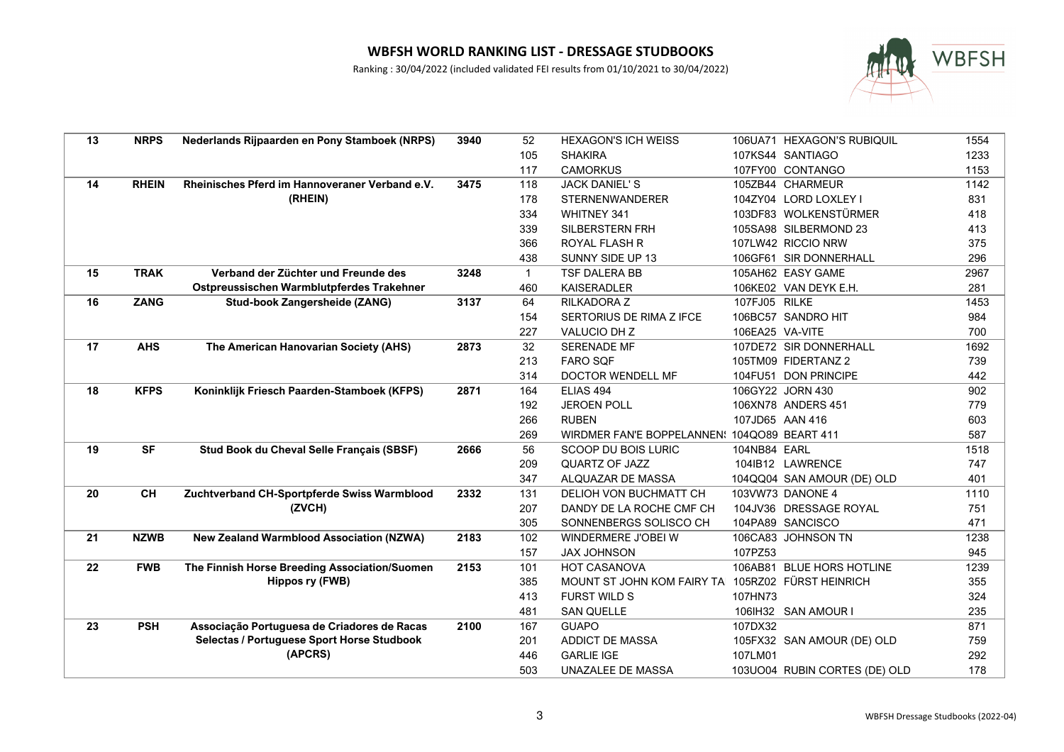

| 13 | <b>NRPS</b>  | Nederlands Rijpaarden en Pony Stamboek (NRPS)   | 3940 | 52           | <b>HEXAGON'S ICH WEISS</b>                         |                 | 106UA71 HEXAGON'S RUBIQUIL    | 1554 |
|----|--------------|-------------------------------------------------|------|--------------|----------------------------------------------------|-----------------|-------------------------------|------|
|    |              |                                                 |      | 105          | <b>SHAKIRA</b>                                     |                 | 107KS44 SANTIAGO              | 1233 |
|    |              |                                                 |      | 117          | <b>CAMORKUS</b>                                    |                 | 107FY00 CONTANGO              | 1153 |
| 14 | <b>RHEIN</b> | Rheinisches Pferd im Hannoveraner Verband e.V.  | 3475 | 118          | <b>JACK DANIEL'S</b>                               |                 | 105ZB44 CHARMEUR              | 1142 |
|    |              | (RHEIN)                                         |      | 178          | <b>STERNENWANDERER</b>                             |                 | 104ZY04 LORD LOXLEY I         | 831  |
|    |              |                                                 |      | 334          | <b>WHITNEY 341</b>                                 |                 | 103DF83 WOLKENSTÜRMER         | 418  |
|    |              |                                                 |      | 339          | SILBERSTERN FRH                                    |                 | 105SA98 SILBERMOND 23         | 413  |
|    |              |                                                 |      | 366          | ROYAL FLASH R                                      |                 | 107LW42 RICCIO NRW            | 375  |
|    |              |                                                 |      | 438          | SUNNY SIDE UP 13                                   |                 | 106GF61 SIR DONNERHALL        | 296  |
| 15 | <b>TRAK</b>  | Verband der Züchter und Freunde des             | 3248 | $\mathbf{1}$ | TSF DALERA BB                                      |                 | 105AH62 EASY GAME             | 2967 |
|    |              | Ostpreussischen Warmblutpferdes Trakehner       |      | 460          | <b>KAISERADLER</b>                                 |                 | 106KE02 VAN DEYK E.H.         | 281  |
| 16 | <b>ZANG</b>  | Stud-book Zangersheide (ZANG)                   | 3137 | 64           | RILKADORA Z                                        | 107FJ05 RILKE   |                               | 1453 |
|    |              |                                                 |      | 154          | SERTORIUS DE RIMA Z IFCE                           |                 | 106BC57 SANDRO HIT            | 984  |
|    |              |                                                 |      | 227          | VALUCIO DH Z                                       | 106EA25 VA-VITE |                               | 700  |
| 17 | <b>AHS</b>   | The American Hanovarian Society (AHS)           | 2873 | 32           | SERENADE MF                                        |                 | 107DE72 SIR DONNERHALL        | 1692 |
|    |              |                                                 |      | 213          | <b>FARO SQF</b>                                    |                 | 105TM09 FIDERTANZ 2           | 739  |
|    |              |                                                 |      | 314          | <b>DOCTOR WENDELL MF</b>                           |                 | 104FU51 DON PRINCIPE          | 442  |
| 18 | <b>KFPS</b>  | Koninklijk Friesch Paarden-Stamboek (KFPS)      | 2871 | 164          | ELIAS 494                                          |                 | 106GY22 JORN 430              | 902  |
|    |              |                                                 |      | 192          | <b>JEROEN POLL</b>                                 |                 | 106XN78 ANDERS 451            | 779  |
|    |              |                                                 |      | 266          | <b>RUBEN</b>                                       |                 | 107JD65 AAN 416               | 603  |
|    |              |                                                 |      | 269          | WIRDMER FAN'E BOPPELANNEN! 104QO89 BEART 411       |                 |                               | 587  |
| 19 | <b>SF</b>    | Stud Book du Cheval Selle Français (SBSF)       | 2666 | 56           | SCOOP DU BOIS LURIC                                | 104NB84 EARL    |                               | 1518 |
|    |              |                                                 |      | 209          | QUARTZ OF JAZZ                                     |                 | 104IB12 LAWRENCE              | 747  |
|    |              |                                                 |      | 347          | ALQUAZAR DE MASSA                                  |                 | 104QQ04 SAN AMOUR (DE) OLD    | 401  |
| 20 | <b>CH</b>    | Zuchtverband CH-Sportpferde Swiss Warmblood     | 2332 | 131          | DELIOH VON BUCHMATT CH                             |                 | 103VW73 DANONE 4              | 1110 |
|    |              | (ZVCH)                                          |      | 207          | DANDY DE LA ROCHE CMF CH                           |                 | 104JV36 DRESSAGE ROYAL        | 751  |
|    |              |                                                 |      | 305          | SONNENBERGS SOLISCO CH                             |                 | 104PA89 SANCISCO              | 471  |
| 21 | <b>NZWB</b>  | <b>New Zealand Warmblood Association (NZWA)</b> | 2183 | 102          | WINDERMERE J'OBEI W                                |                 | 106CA83 JOHNSON TN            | 1238 |
|    |              |                                                 |      | 157          | <b>JAX JOHNSON</b>                                 | 107PZ53         |                               | 945  |
| 22 | <b>FWB</b>   | The Finnish Horse Breeding Association/Suomen   | 2153 | 101          | <b>HOT CASANOVA</b>                                |                 | 106AB81 BLUE HORS HOTLINE     | 1239 |
|    |              | <b>Hippos ry (FWB)</b>                          |      | 385          | MOUNT ST JOHN KOM FAIRY TAI 105RZ02 FÜRST HEINRICH |                 |                               | 355  |
|    |              |                                                 |      | 413          | <b>FURST WILD S</b>                                | 107HN73         |                               | 324  |
|    |              |                                                 |      | 481          | <b>SAN QUELLE</b>                                  |                 | 106IH32 SAN AMOUR I           | 235  |
| 23 | <b>PSH</b>   | Associação Portuguesa de Criadores de Racas     | 2100 | 167          | <b>GUAPO</b>                                       | 107DX32         |                               | 871  |
|    |              | Selectas / Portuguese Sport Horse Studbook      |      | 201          | <b>ADDICT DE MASSA</b>                             |                 | 105FX32 SAN AMOUR (DE) OLD    | 759  |
|    |              | (APCRS)                                         |      | 446          | <b>GARLIE IGE</b>                                  | 107LM01         |                               | 292  |
|    |              |                                                 |      | 503          | UNAZALEE DE MASSA                                  |                 | 103UO04 RUBIN CORTES (DE) OLD | 178  |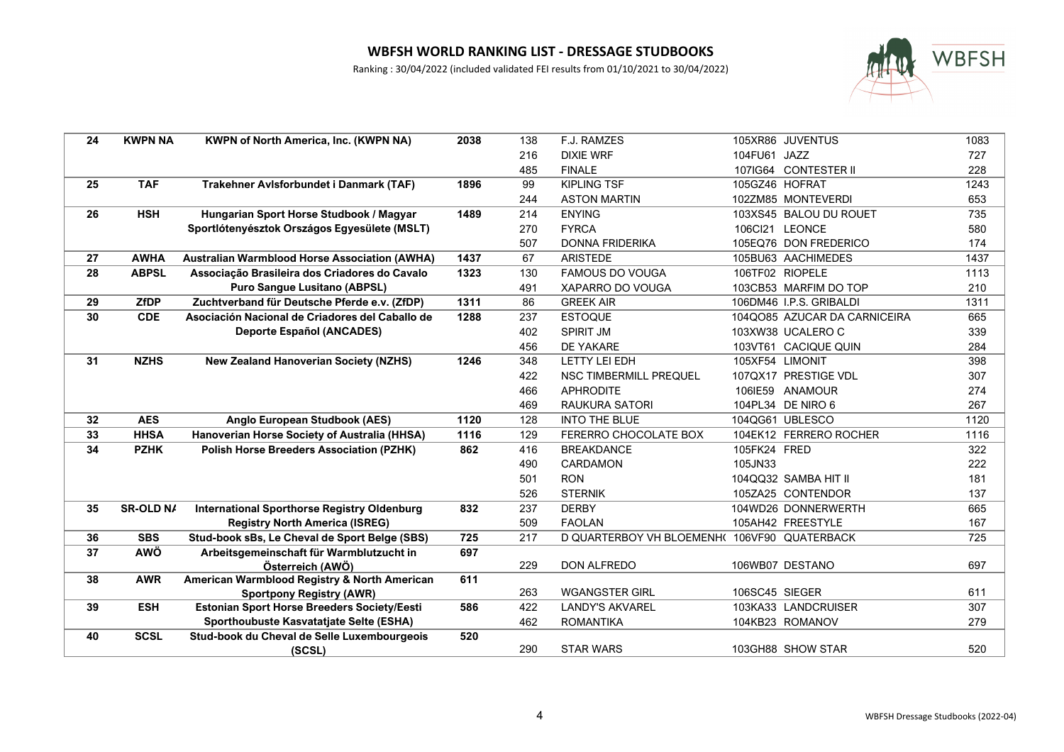

| 24 | <b>KWPN NA</b> | <b>KWPN of North America, Inc. (KWPN NA)</b>         | 2038 | 138 | F.J. RAMZES                                  |                 | 105XR86 JUVENTUS             | 1083 |
|----|----------------|------------------------------------------------------|------|-----|----------------------------------------------|-----------------|------------------------------|------|
|    |                |                                                      |      | 216 | <b>DIXIE WRF</b>                             | 104FU61 JAZZ    |                              | 727  |
|    |                |                                                      |      | 485 | <b>FINALE</b>                                |                 | 107IG64 CONTESTER II         | 228  |
| 25 | <b>TAF</b>     | Trakehner Avlsforbundet i Danmark (TAF)              | 1896 | 99  | <b>KIPLING TSF</b>                           | 105GZ46 HOFRAT  |                              | 1243 |
|    |                |                                                      |      | 244 | <b>ASTON MARTIN</b>                          |                 | 102ZM85 MONTEVERDI           | 653  |
| 26 | <b>HSH</b>     | Hungarian Sport Horse Studbook / Magyar              | 1489 | 214 | <b>ENYING</b>                                |                 | 103XS45 BALOU DU ROUET       | 735  |
|    |                | Sportlótenyésztok Országos Egyesülete (MSLT)         |      | 270 | <b>FYRCA</b>                                 | 106Cl21 LEONCE  |                              | 580  |
|    |                |                                                      |      | 507 | <b>DONNA FRIDERIKA</b>                       |                 | 105EQ76 DON FREDERICO        | 174  |
| 27 | <b>AWHA</b>    | <b>Australian Warmblood Horse Association (AWHA)</b> | 1437 | 67  | <b>ARISTEDE</b>                              |                 | 105BU63 AACHIMEDES           | 1437 |
| 28 | <b>ABPSL</b>   | Associação Brasileira dos Criadores do Cavalo        | 1323 | 130 | <b>FAMOUS DO VOUGA</b>                       |                 | 106TF02 RIOPELE              | 1113 |
|    |                | Puro Sangue Lusitano (ABPSL)                         |      | 491 | XAPARRO DO VOUGA                             |                 | 103CB53 MARFIM DO TOP        | 210  |
| 29 | <b>ZfDP</b>    | Zuchtverband für Deutsche Pferde e.v. (ZfDP)         | 1311 | 86  | <b>GREEK AIR</b>                             |                 | 106DM46 I.P.S. GRIBALDI      | 1311 |
| 30 | <b>CDE</b>     | Asociación Nacional de Criadores del Caballo de      | 1288 | 237 | <b>ESTOQUE</b>                               |                 | 104QO85 AZUCAR DA CARNICEIRA | 665  |
|    |                | <b>Deporte Español (ANCADES)</b>                     |      | 402 | <b>SPIRIT JM</b>                             |                 | 103XW38 UCALERO C            | 339  |
|    |                |                                                      |      | 456 | DE YAKARE                                    |                 | 103VT61 CACIQUE QUIN         | 284  |
| 31 | <b>NZHS</b>    | <b>New Zealand Hanoverian Society (NZHS)</b>         | 1246 | 348 | <b>LETTY LEI EDH</b>                         | 105XF54 LIMONIT |                              | 398  |
|    |                |                                                      |      | 422 | NSC TIMBERMILL PREQUEL                       |                 | 107QX17 PRESTIGE VDL         | 307  |
|    |                |                                                      |      | 466 | <b>APHRODITE</b>                             |                 | 106IE59 ANAMOUR              | 274  |
|    |                |                                                      |      | 469 | <b>RAUKURA SATORI</b>                        |                 | 104PL34 DE NIRO 6            | 267  |
| 32 | <b>AES</b>     | Anglo European Studbook (AES)                        | 1120 | 128 | <b>INTO THE BLUE</b>                         |                 | 104QG61 UBLESCO              | 1120 |
| 33 | <b>HHSA</b>    | Hanoverian Horse Society of Australia (HHSA)         | 1116 | 129 | <b>FERERRO CHOCOLATE BOX</b>                 |                 | 104EK12 FERRERO ROCHER       | 1116 |
| 34 | <b>PZHK</b>    | <b>Polish Horse Breeders Association (PZHK)</b>      | 862  | 416 | <b>BREAKDANCE</b>                            | 105FK24 FRED    |                              | 322  |
|    |                |                                                      |      | 490 | <b>CARDAMON</b>                              | 105JN33         |                              | 222  |
|    |                |                                                      |      | 501 | <b>RON</b>                                   |                 | 104QQ32 SAMBA HIT II         | 181  |
|    |                |                                                      |      | 526 | <b>STERNIK</b>                               |                 | 105ZA25 CONTENDOR            | 137  |
| 35 | SR-OLD N/      | <b>International Sporthorse Registry Oldenburg</b>   | 832  | 237 | <b>DERBY</b>                                 |                 | 104WD26 DONNERWERTH          | 665  |
|    |                | <b>Registry North America (ISREG)</b>                |      | 509 | <b>FAOLAN</b>                                |                 | 105AH42 FREESTYLE            | 167  |
| 36 | <b>SBS</b>     | Stud-book sBs, Le Cheval de Sport Belge (SBS)        | 725  | 217 | D QUARTERBOY VH BLOEMENH( 106VF90 QUATERBACK |                 |                              | 725  |
| 37 | <b>AWÖ</b>     | Arbeitsgemeinschaft für Warmblutzucht in             | 697  |     |                                              |                 |                              |      |
|    |                | Österreich (AWÖ)                                     |      | 229 | <b>DON ALFREDO</b>                           |                 | 106WB07 DESTANO              | 697  |
| 38 | <b>AWR</b>     | American Warmblood Registry & North American         | 611  |     |                                              |                 |                              |      |
|    |                | <b>Sportpony Registry (AWR)</b>                      |      | 263 | <b>WGANGSTER GIRL</b>                        | 106SC45 SIEGER  |                              | 611  |
| 39 | <b>ESH</b>     | <b>Estonian Sport Horse Breeders Society/Eesti</b>   | 586  | 422 | LANDY'S AKVAREL                              |                 | 103KA33 LANDCRUISER          | 307  |
|    |                | Sporthoubuste Kasvatatjate Selte (ESHA)              |      | 462 | <b>ROMANTIKA</b>                             |                 | 104KB23 ROMANOV              | 279  |
| 40 | <b>SCSL</b>    | Stud-book du Cheval de Selle Luxembourgeois          | 520  |     |                                              |                 |                              |      |
|    |                | (SCSL)                                               |      | 290 | <b>STAR WARS</b>                             |                 | 103GH88 SHOW STAR            | 520  |